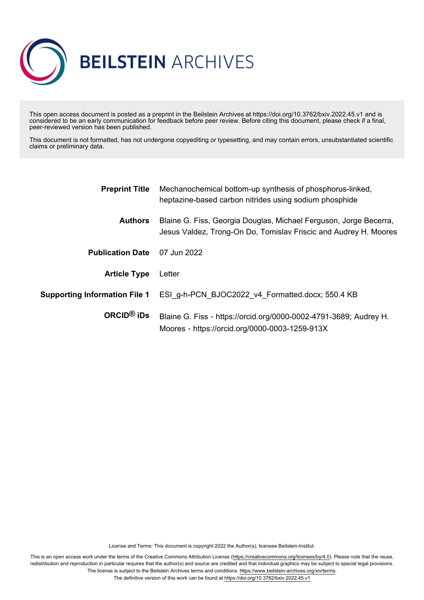

This open access document is posted as a preprint in the Beilstein Archives at https://doi.org/10.3762/bxiv.2022.45.v1 and is considered to be an early communication for feedback before peer review. Before citing this document, please check if a final, peer-reviewed version has been published.

This document is not formatted, has not undergone copyediting or typesetting, and may contain errors, unsubstantiated scientific claims or preliminary data.

| <b>Preprint Title</b>                | Mechanochemical bottom-up synthesis of phosphorus-linked,<br>heptazine-based carbon nitrides using sodium phosphide                   |
|--------------------------------------|---------------------------------------------------------------------------------------------------------------------------------------|
| <b>Authors</b>                       | Blaine G. Fiss, Georgia Douglas, Michael Ferguson, Jorge Becerra,<br>Jesus Valdez, Trong-On Do, Tomislav Friscic and Audrey H. Moores |
| <b>Publication Date</b>              | 07 Jun 2022                                                                                                                           |
| <b>Article Type</b>                  | Letter                                                                                                                                |
| <b>Supporting Information File 1</b> | ESI g-h-PCN BJOC2022 v4_Formatted.docx; 550.4 KB                                                                                      |
| ORCID <sup>®</sup> iDs               | Blaine G. Fiss - https://orcid.org/0000-0002-4791-3689; Audrey H.<br>Moores - https://orcid.org/0000-0003-1259-913X                   |

License and Terms: This document is copyright 2022 the Author(s); licensee Beilstein-Institut.

This is an open access work under the terms of the Creative Commons Attribution License [\(https://creativecommons.org/licenses/by/4.0\)](https://creativecommons.org/licenses/by/4.0). Please note that the reuse, redistribution and reproduction in particular requires that the author(s) and source are credited and that individual graphics may be subject to special legal provisions. The license is subject to the Beilstein Archives terms and conditions: [https://www.beilstein-archives.org/xiv/terms.](https://www.beilstein-archives.org/xiv/terms)

The definitive version of this work can be found at <https://doi.org/10.3762/bxiv.2022.45.v1>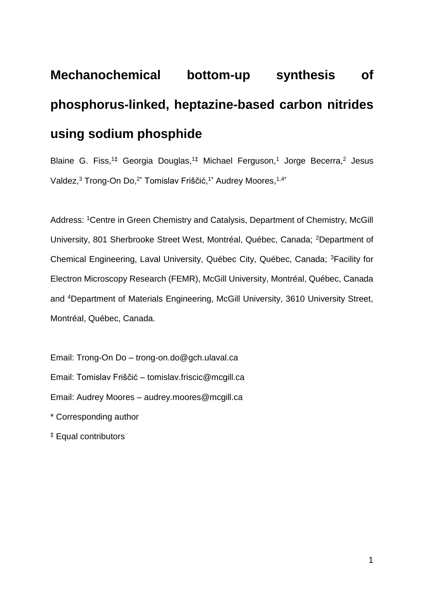# **Mechanochemical bottom-up synthesis of phosphorus-linked, heptazine-based carbon nitrides using sodium phosphide**

Blaine G. Fiss,<sup>1‡</sup> Georgia Douglas,<sup>1‡</sup> Michael Ferguson,<sup>1</sup> Jorge Becerra,<sup>2</sup> Jesus Valdez,<sup>3</sup> Trong-On Do,<sup>2\*</sup> Tomislav Friščić,<sup>1\*</sup> Audrey Moores,<sup>1,4\*</sup>

Address: <sup>1</sup>Centre in Green Chemistry and Catalysis, Department of Chemistry, McGill University, 801 Sherbrooke Street West, Montréal, Québec, Canada; <sup>2</sup>Department of Chemical Engineering, Laval University, Québec City, Québec, Canada; <sup>3</sup>Facility for Electron Microscopy Research (FEMR), McGill University, Montréal, Québec, Canada and <sup>4</sup>Department of Materials Engineering, McGill University, 3610 University Street, Montréal, Québec, Canada.

Email: Trong-On Do – trong-on.do@gch.ulaval.ca Email: Tomislav Friščić – tomislav.friscic@mcgill.ca Email: Audrey Moores – audrey.moores@mcgill.ca \* Corresponding author

‡ Equal contributors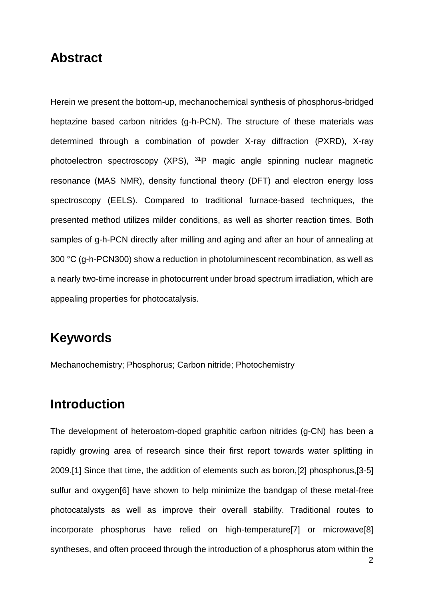## **Abstract**

Herein we present the bottom-up, mechanochemical synthesis of phosphorus-bridged heptazine based carbon nitrides (g-h-PCN). The structure of these materials was determined through a combination of powder X-ray diffraction (PXRD), X-ray photoelectron spectroscopy (XPS), <sup>31</sup>P magic angle spinning nuclear magnetic resonance (MAS NMR), density functional theory (DFT) and electron energy loss spectroscopy (EELS). Compared to traditional furnace-based techniques, the presented method utilizes milder conditions, as well as shorter reaction times. Both samples of g-h-PCN directly after milling and aging and after an hour of annealing at 300 °C (g-h-PCN300) show a reduction in photoluminescent recombination, as well as a nearly two-time increase in photocurrent under broad spectrum irradiation, which are appealing properties for photocatalysis.

## **Keywords**

Mechanochemistry; Phosphorus; Carbon nitride; Photochemistry

## **Introduction**

The development of heteroatom-doped graphitic carbon nitrides (g-CN) has been a rapidly growing area of research since their first report towards water splitting in 2009.[1] Since that time, the addition of elements such as boron,[2] phosphorus,[3-5] sulfur and oxygen[6] have shown to help minimize the bandgap of these metal-free photocatalysts as well as improve their overall stability. Traditional routes to incorporate phosphorus have relied on high-temperature[7] or microwave[8] syntheses, and often proceed through the introduction of a phosphorus atom within the

2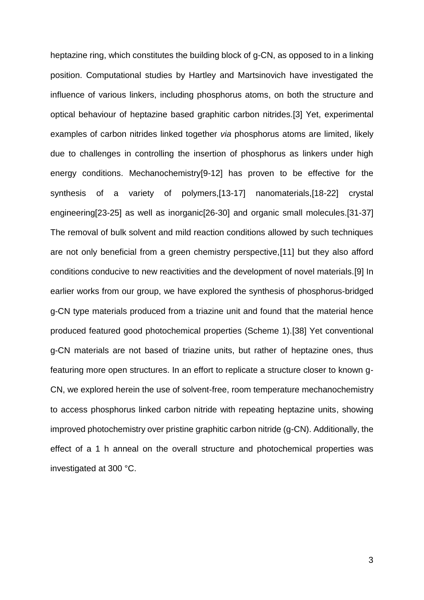heptazine ring, which constitutes the building block of g-CN, as opposed to in a linking position. Computational studies by Hartley and Martsinovich have investigated the influence of various linkers, including phosphorus atoms, on both the structure and optical behaviour of heptazine based graphitic carbon nitrides.[3] Yet, experimental examples of carbon nitrides linked together *via* phosphorus atoms are limited, likely due to challenges in controlling the insertion of phosphorus as linkers under high energy conditions. Mechanochemistry[9-12] has proven to be effective for the synthesis of a variety of polymers,[13-17] nanomaterials,[18-22] crystal engineering[23-25] as well as inorganic[26-30] and organic small molecules.[31-37] The removal of bulk solvent and mild reaction conditions allowed by such techniques are not only beneficial from a green chemistry perspective,[11] but they also afford conditions conducive to new reactivities and the development of novel materials.[9] In earlier works from our group, we have explored the synthesis of phosphorus-bridged g-CN type materials produced from a triazine unit and found that the material hence produced featured good photochemical properties (Scheme 1).[38] Yet conventional g-CN materials are not based of triazine units, but rather of heptazine ones, thus featuring more open structures. In an effort to replicate a structure closer to known g-CN, we explored herein the use of solvent-free, room temperature mechanochemistry to access phosphorus linked carbon nitride with repeating heptazine units, showing improved photochemistry over pristine graphitic carbon nitride (g-CN). Additionally, the effect of a 1 h anneal on the overall structure and photochemical properties was investigated at 300 °C.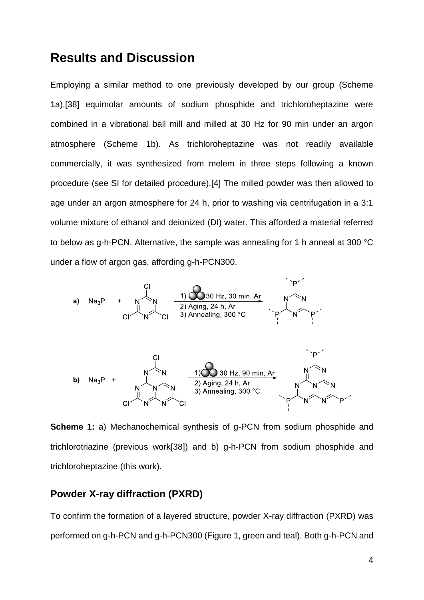## **Results and Discussion**

Employing a similar method to one previously developed by our group (Scheme 1a),[38] equimolar amounts of sodium phosphide and trichloroheptazine were combined in a vibrational ball mill and milled at 30 Hz for 90 min under an argon atmosphere (Scheme 1b). As trichloroheptazine was not readily available commercially, it was synthesized from melem in three steps following a known procedure (see SI for detailed procedure).[4] The milled powder was then allowed to age under an argon atmosphere for 24 h, prior to washing via centrifugation in a 3:1 volume mixture of ethanol and deionized (DI) water. This afforded a material referred to below as g-h-PCN. Alternative, the sample was annealing for 1 h anneal at 300 °C under a flow of argon gas, affording g-h-PCN300.



**Scheme 1:** a) Mechanochemical synthesis of g-PCN from sodium phosphide and trichlorotriazine (previous work[38]) and b) g-h-PCN from sodium phosphide and trichloroheptazine (this work).

#### **Powder X-ray diffraction (PXRD)**

To confirm the formation of a layered structure, powder X-ray diffraction (PXRD) was performed on g-h-PCN and g-h-PCN300 (Figure 1, green and teal). Both g-h-PCN and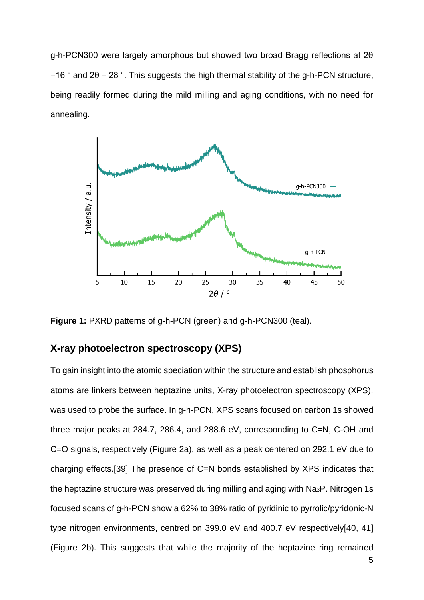g-h-PCN300 were largely amorphous but showed two broad Bragg reflections at 2θ  $=16$  ° and 2 $\theta$  = 28 °. This suggests the high thermal stability of the g-h-PCN structure, being readily formed during the mild milling and aging conditions, with no need for annealing.



**Figure 1:** PXRD patterns of g-h-PCN (green) and g-h-PCN300 (teal).

#### **X-ray photoelectron spectroscopy (XPS)**

To gain insight into the atomic speciation within the structure and establish phosphorus atoms are linkers between heptazine units, X-ray photoelectron spectroscopy (XPS), was used to probe the surface. In g-h-PCN, XPS scans focused on carbon 1s showed three major peaks at 284.7, 286.4, and 288.6 eV, corresponding to C=N, C-OH and C=O signals, respectively (Figure 2a), as well as a peak centered on 292.1 eV due to charging effects.[39] The presence of C=N bonds established by XPS indicates that the heptazine structure was preserved during milling and aging with Na3P. Nitrogen 1s focused scans of g-h-PCN show a 62% to 38% ratio of pyridinic to pyrrolic/pyridonic-N type nitrogen environments, centred on 399.0 eV and 400.7 eV respectively[40, 41] (Figure 2b). This suggests that while the majority of the heptazine ring remained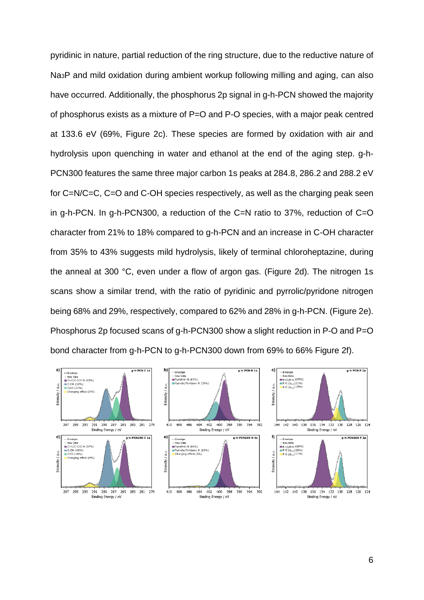pyridinic in nature, partial reduction of the ring structure, due to the reductive nature of Na3P and mild oxidation during ambient workup following milling and aging, can also have occurred. Additionally, the phosphorus 2p signal in g-h-PCN showed the majority of phosphorus exists as a mixture of P=O and P-O species, with a major peak centred at 133.6 eV (69%, Figure 2c). These species are formed by oxidation with air and hydrolysis upon quenching in water and ethanol at the end of the aging step. g-h-PCN300 features the same three major carbon 1s peaks at 284.8, 286.2 and 288.2 eV for C=N/C=C, C=O and C-OH species respectively, as well as the charging peak seen in g-h-PCN. In g-h-PCN300, a reduction of the C=N ratio to 37%, reduction of C=O character from 21% to 18% compared to g-h-PCN and an increase in C-OH character from 35% to 43% suggests mild hydrolysis, likely of terminal chloroheptazine, during the anneal at 300 °C, even under a flow of argon gas. (Figure 2d). The nitrogen 1s scans show a similar trend, with the ratio of pyridinic and pyrrolic/pyridone nitrogen being 68% and 29%, respectively, compared to 62% and 28% in g-h-PCN. (Figure 2e). Phosphorus 2p focused scans of g-h-PCN300 show a slight reduction in P-O and P=O bond character from g-h-PCN to g-h-PCN300 down from 69% to 66% Figure 2f).

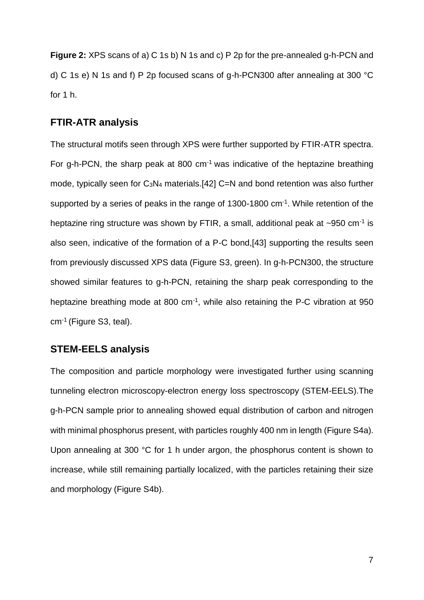**Figure 2:** XPS scans of a) C 1s b) N 1s and c) P 2p for the pre-annealed g-h-PCN and d) C 1s e) N 1s and f) P 2p focused scans of g-h-PCN300 after annealing at 300 °C for 1 h.

#### **FTIR-ATR analysis**

The structural motifs seen through XPS were further supported by FTIR-ATR spectra. For g-h-PCN, the sharp peak at 800  $cm^{-1}$  was indicative of the heptazine breathing mode, typically seen for C3N<sup>4</sup> materials.[42] C=N and bond retention was also further supported by a series of peaks in the range of  $1300-1800$  cm $^{-1}$ . While retention of the heptazine ring structure was shown by FTIR, a small, additional peak at  $\sim$ 950 cm<sup>-1</sup> is also seen, indicative of the formation of a P-C bond,[43] supporting the results seen from previously discussed XPS data (Figure S3, green). In g-h-PCN300, the structure showed similar features to g-h-PCN, retaining the sharp peak corresponding to the heptazine breathing mode at 800 cm<sup>-1</sup>, while also retaining the P-C vibration at 950 cm<sup>-1</sup> (Figure S3, teal).

#### **STEM-EELS analysis**

The composition and particle morphology were investigated further using scanning tunneling electron microscopy-electron energy loss spectroscopy (STEM-EELS).The g-h-PCN sample prior to annealing showed equal distribution of carbon and nitrogen with minimal phosphorus present, with particles roughly 400 nm in length (Figure S4a). Upon annealing at 300 °C for 1 h under argon, the phosphorus content is shown to increase, while still remaining partially localized, with the particles retaining their size and morphology (Figure S4b).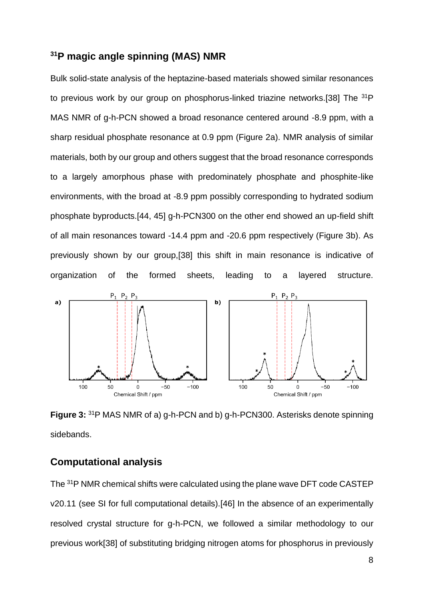### **<sup>31</sup>P magic angle spinning (MAS) NMR**

Bulk solid-state analysis of the heptazine-based materials showed similar resonances to previous work by our group on phosphorus-linked triazine networks.[38] The <sup>31</sup>P MAS NMR of g-h-PCN showed a broad resonance centered around -8.9 ppm, with a sharp residual phosphate resonance at 0.9 ppm (Figure 2a). NMR analysis of similar materials, both by our group and others suggest that the broad resonance corresponds to a largely amorphous phase with predominately phosphate and phosphite-like environments, with the broad at -8.9 ppm possibly corresponding to hydrated sodium phosphate byproducts.[44, 45] g-h-PCN300 on the other end showed an up-field shift of all main resonances toward -14.4 ppm and -20.6 ppm respectively (Figure 3b). As previously shown by our group,[38] this shift in main resonance is indicative of organization of the formed sheets, leading to a layered structure.



**Figure 3:** <sup>31</sup>P MAS NMR of a) g-h-PCN and b) g-h-PCN300. Asterisks denote spinning sidebands.

#### **Computational analysis**

The <sup>31</sup>P NMR chemical shifts were calculated using the plane wave DFT code CASTEP v20.11 (see SI for full computational details).[46] In the absence of an experimentally resolved crystal structure for g-h-PCN, we followed a similar methodology to our previous work[38] of substituting bridging nitrogen atoms for phosphorus in previously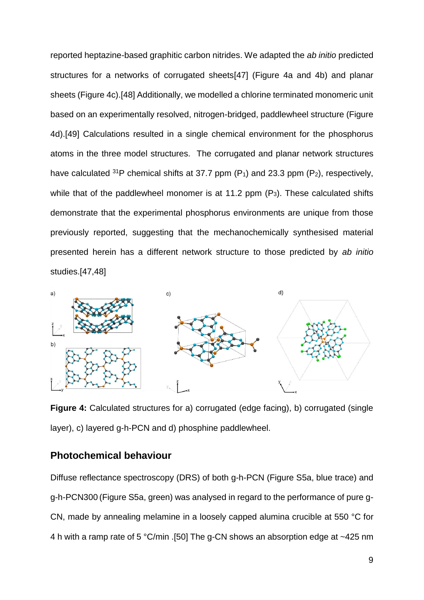reported heptazine-based graphitic carbon nitrides. We adapted the *ab initio* predicted structures for a networks of corrugated sheets[47] (Figure 4a and 4b) and planar sheets (Figure 4c).[48] Additionally, we modelled a chlorine terminated monomeric unit based on an experimentally resolved, nitrogen-bridged, paddlewheel structure (Figure 4d).[49] Calculations resulted in a single chemical environment for the phosphorus atoms in the three model structures. The corrugated and planar network structures have calculated  $31P$  chemical shifts at 37.7 ppm (P<sub>1</sub>) and 23.3 ppm (P<sub>2</sub>), respectively, while that of the paddlewheel monomer is at 11.2 ppm (P<sub>3</sub>). These calculated shifts demonstrate that the experimental phosphorus environments are unique from those previously reported, suggesting that the mechanochemically synthesised material presented herein has a different network structure to those predicted by *ab initio*  studies.[47,48]



**Figure 4:** Calculated structures for a) corrugated (edge facing), b) corrugated (single layer), c) layered g-h-PCN and d) phosphine paddlewheel.

#### **Photochemical behaviour**

Diffuse reflectance spectroscopy (DRS) of both g-h-PCN (Figure S5a, blue trace) and g-h-PCN300 (Figure S5a, green) was analysed in regard to the performance of pure g-CN, made by annealing melamine in a loosely capped alumina crucible at 550 °C for 4 h with a ramp rate of 5 °C/min .[50] The g-CN shows an absorption edge at ~425 nm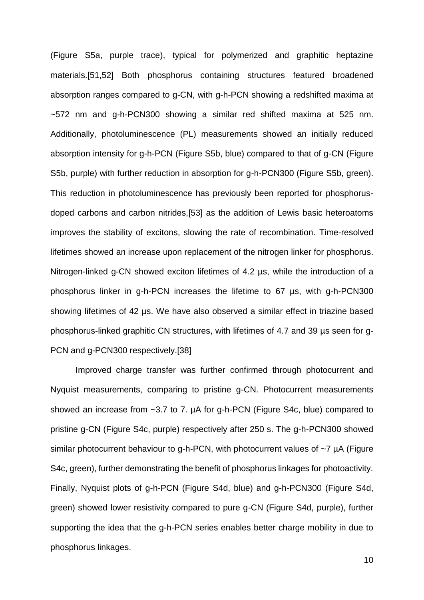(Figure S5a, purple trace), typical for polymerized and graphitic heptazine materials.[51,52] Both phosphorus containing structures featured broadened absorption ranges compared to g-CN, with g-h-PCN showing a redshifted maxima at ~572 nm and g-h-PCN300 showing a similar red shifted maxima at 525 nm. Additionally, photoluminescence (PL) measurements showed an initially reduced absorption intensity for g-h-PCN (Figure S5b, blue) compared to that of g-CN (Figure S5b, purple) with further reduction in absorption for g-h-PCN300 (Figure S5b, green). This reduction in photoluminescence has previously been reported for phosphorusdoped carbons and carbon nitrides,[53] as the addition of Lewis basic heteroatoms improves the stability of excitons, slowing the rate of recombination. Time-resolved lifetimes showed an increase upon replacement of the nitrogen linker for phosphorus. Nitrogen-linked g-CN showed exciton lifetimes of 4.2 µs, while the introduction of a phosphorus linker in g-h-PCN increases the lifetime to 67 µs, with g-h-PCN300 showing lifetimes of 42 µs. We have also observed a similar effect in triazine based phosphorus-linked graphitic CN structures, with lifetimes of 4.7 and 39 µs seen for g-PCN and g-PCN300 respectively.[38]

Improved charge transfer was further confirmed through photocurrent and Nyquist measurements, comparing to pristine g-CN. Photocurrent measurements showed an increase from ~3.7 to 7.  $\mu$ A for g-h-PCN (Figure S4c, blue) compared to pristine g-CN (Figure S4c, purple) respectively after 250 s. The g-h-PCN300 showed similar photocurrent behaviour to g-h-PCN, with photocurrent values of ~7 µA (Figure S4c, green), further demonstrating the benefit of phosphorus linkages for photoactivity. Finally, Nyquist plots of g-h-PCN (Figure S4d, blue) and g-h-PCN300 (Figure S4d, green) showed lower resistivity compared to pure g-CN (Figure S4d, purple), further supporting the idea that the g-h-PCN series enables better charge mobility in due to phosphorus linkages.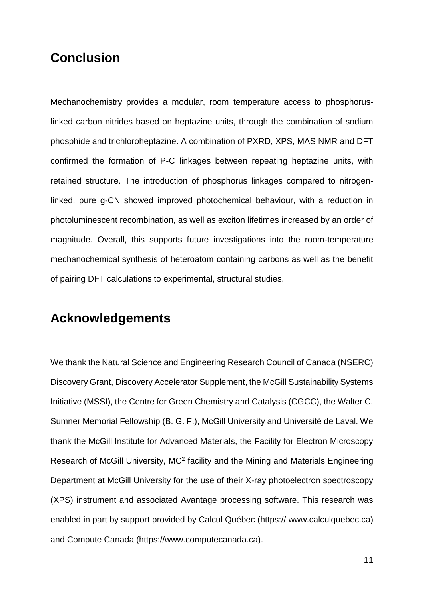## **Conclusion**

Mechanochemistry provides a modular, room temperature access to phosphoruslinked carbon nitrides based on heptazine units, through the combination of sodium phosphide and trichloroheptazine. A combination of PXRD, XPS, MAS NMR and DFT confirmed the formation of P-C linkages between repeating heptazine units, with retained structure. The introduction of phosphorus linkages compared to nitrogenlinked, pure g-CN showed improved photochemical behaviour, with a reduction in photoluminescent recombination, as well as exciton lifetimes increased by an order of magnitude. Overall, this supports future investigations into the room-temperature mechanochemical synthesis of heteroatom containing carbons as well as the benefit of pairing DFT calculations to experimental, structural studies.

## **Acknowledgements**

We thank the Natural Science and Engineering Research Council of Canada (NSERC) Discovery Grant, Discovery Accelerator Supplement, the McGill Sustainability Systems Initiative (MSSI), the Centre for Green Chemistry and Catalysis (CGCC), the Walter C. Sumner Memorial Fellowship (B. G. F.), McGill University and Université de Laval. We thank the McGill Institute for Advanced Materials, the Facility for Electron Microscopy Research of McGill University, MC<sup>2</sup> facility and the Mining and Materials Engineering Department at McGill University for the use of their X-ray photoelectron spectroscopy (XPS) instrument and associated Avantage processing software. This research was enabled in part by support provided by Calcul Québec (https:// www.calculquebec.ca) and Compute Canada (https://www.computecanada.ca).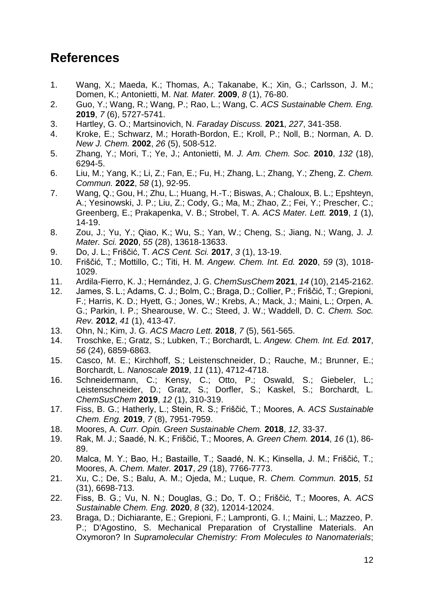## **References**

- 1. Wang, X.; Maeda, K.; Thomas, A.; Takanabe, K.; Xin, G.; Carlsson, J. M.; Domen, K.; Antonietti, M. *Nat. Mater.* **2009**, *8* (1), 76-80.
- 2. Guo, Y.; Wang, R.; Wang, P.; Rao, L.; Wang, C. *ACS Sustainable Chem. Eng.*  **2019**, *7* (6), 5727-5741.
- 3. Hartley, G. O.; Martsinovich, N. *Faraday Discuss.* **2021**, *227*, 341-358.
- 4. Kroke, E.; Schwarz, M.; Horath-Bordon, E.; Kroll, P.; Noll, B.; Norman, A. D. *New J. Chem.* **2002**, *26* (5), 508-512.
- 5. Zhang, Y.; Mori, T.; Ye, J.; Antonietti, M. *J. Am. Chem. Soc.* **2010**, *132* (18), 6294-5.
- 6. Liu, M.; Yang, K.; Li, Z.; Fan, E.; Fu, H.; Zhang, L.; Zhang, Y.; Zheng, Z. *Chem. Commun.* **2022**, *58* (1), 92-95.
- 7. Wang, Q.; Gou, H.; Zhu, L.; Huang, H.-T.; Biswas, A.; Chaloux, B. L.; Epshteyn, A.; Yesinowski, J. P.; Liu, Z.; Cody, G.; Ma, M.; Zhao, Z.; Fei, Y.; Prescher, C.; Greenberg, E.; Prakapenka, V. B.; Strobel, T. A. *ACS Mater. Lett.* **2019**, *1* (1), 14-19.
- 8. Zou, J.; Yu, Y.; Qiao, K.; Wu, S.; Yan, W.; Cheng, S.; Jiang, N.; Wang, J. *J. Mater. Sci.* **2020**, *55* (28), 13618-13633.
- 9. Do, J. L.; Friščić, T. *ACS Cent. Sci.* **2017**, *3* (1), 13-19.
- 10. Friščić, T.; Mottillo, C.; Titi, H. M. *Angew. Chem. Int. Ed.* **2020**, *59* (3), 1018- 1029.
- 11. Ardila-Fierro, K. J.; Hernández, J. G. *ChemSusChem* **2021**, *14* (10), 2145-2162.
- 12. James, S. L.; Adams, C. J.; Bolm, C.; Braga, D.; Collier, P.; Friščić, T.; Grepioni, F.; Harris, K. D.; Hyett, G.; Jones, W.; Krebs, A.; Mack, J.; Maini, L.; Orpen, A. G.; Parkin, I. P.; Shearouse, W. C.; Steed, J. W.; Waddell, D. C. *Chem. Soc. Rev.* **2012**, *41* (1), 413-47.
- 13. Ohn, N.; Kim, J. G. *ACS Macro Lett.* **2018**, *7* (5), 561-565.
- 14. Troschke, E.; Gratz, S.; Lubken, T.; Borchardt, L. *Angew. Chem. Int. Ed.* **2017**, *56* (24), 6859-6863.
- 15. Casco, M. E.; Kirchhoff, S.; Leistenschneider, D.; Rauche, M.; Brunner, E.; Borchardt, L. *Nanoscale* **2019**, *11* (11), 4712-4718.
- 16. Schneidermann, C.; Kensy, C.; Otto, P.; Oswald, S.; Giebeler, L.; Leistenschneider, D.; Gratz, S.; Dorfler, S.; Kaskel, S.; Borchardt, L. *ChemSusChem* **2019**, *12* (1), 310-319.
- 17. Fiss, B. G.; Hatherly, L.; Stein, R. S.; Friščić, T.; Moores, A. *ACS Sustainable Chem. Eng.* **2019**, *7* (8), 7951-7959.
- 18. Moores, A. *Curr. Opin. Green Sustainable Chem.* **2018**, *12*, 33-37.
- 19. Rak, M. J.; Saadé, N. K.; Friščić, T.; Moores, A. *Green Chem.* **2014**, *16* (1), 86- 89.
- 20. Malca, M. Y.; Bao, H.; Bastaille, T.; Saadé, N. K.; Kinsella, J. M.; Friščić, T.; Moores, A. *Chem. Mater.* **2017**, *29* (18), 7766-7773.
- 21. Xu, C.; De, S.; Balu, A. M.; Ojeda, M.; Luque, R. *Chem. Commun.* **2015**, *51* (31), 6698-713.
- 22. Fiss, B. G.; Vu, N. N.; Douglas, G.; Do, T. O.; Friščić, T.; Moores, A. *ACS Sustainable Chem. Eng.* **2020**, *8* (32), 12014-12024.
- 23. Braga, D.; Dichiarante, E.; Grepioni, F.; Lampronti, G. I.; Maini, L.; Mazzeo, P. P.; D'Agostino, S. Mechanical Preparation of Crystalline Materials. An Oxymoron? In *Supramolecular Chemistry: From Molecules to Nanomaterials*;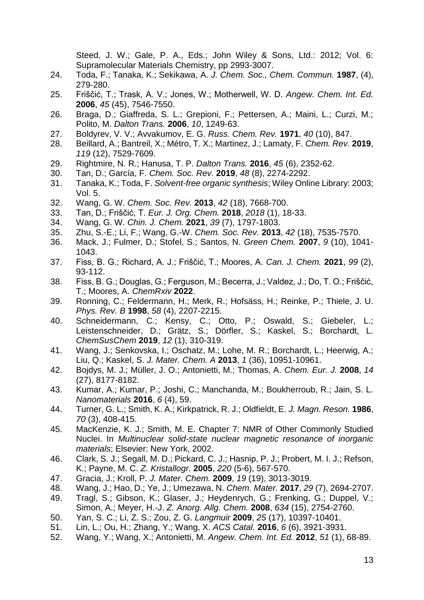Steed, J. W.; Gale, P. A., Eds.; John Wiley & Sons, Ltd.: 2012; Vol. 6: Supramolecular Materials Chemistry, pp 2993-3007.

- 24. Toda, F.; Tanaka, K.; Sekikawa, A. *J. Chem. Soc., Chem. Commun.* **1987**, (4), 279-280.
- 25. Friščić, T.; Trask, A. V.; Jones, W.; Motherwell, W. D. *Angew. Chem. Int. Ed.*  **2006**, *45* (45), 7546-7550.
- 26. Braga, D.; Giaffreda, S. L.; Grepioni, F.; Pettersen, A.; Maini, L.; Curzi, M.; Polito, M. *Dalton Trans.* **2006**, *10*, 1249-63.
- 27. Boldyrev, V. V.; Avvakumov, E. G. *Russ. Chem. Rev.* **1971**, *40* (10), 847.
- 28. Beillard, A.; Bantreil, X.; Métro, T. X.; Martinez, J.; Lamaty, F. *Chem. Rev.* **2019**, *119* (12), 7529-7609.
- 29. Rightmire, N. R.; Hanusa, T. P. *Dalton Trans.* **2016**, *45* (6), 2352-62.
- 30. Tan, D.; García, F. *Chem. Soc. Rev.* **2019**, *48* (8), 2274-2292.
- 31. Tanaka, K.; Toda, F. *Solvent-free organic synthesis*; Wiley Online Library: 2003; Vol. 5.
- 32. Wang, G. W. *Chem. Soc. Rev.* **2013**, *42* (18), 7668-700.
- 33. Tan, D.; Friščić, T. *Eur. J. Org. Chem.* **2018**, *2018* (1), 18-33.
- 34. Wang, G. W. *Chin. J. Chem.* **2021**, *39* (7), 1797-1803.
- 35. Zhu, S.-E.; Li, F.; Wang, G.-W. *Chem. Soc. Rev.* **2013**, *42* (18), 7535-7570.
- 36. Mack, J.; Fulmer, D.; Stofel, S.; Santos, N. *Green Chem.* **2007**, *9* (10), 1041- 1043.
- 37. Fiss, B. G.; Richard, A. J.; Friščić, T.; Moores, A. *Can. J. Chem.* **2021**, *99* (2), 93-112.
- 38. Fiss, B. G.; Douglas, G.; Ferguson, M.; Becerra, J.; Valdez, J.; Do, T. O.; Friščić, T.; Moores, A. *ChemRxiv* **2022**.
- 39. Ronning, C.; Feldermann, H.; Merk, R.; Hofsäss, H.; Reinke, P.; Thiele, J. U. *Phys. Rev. B* **1998**, *58* (4), 2207-2215.
- 40. Schneidermann, C.; Kensy, C.; Otto, P.; Oswald, S.; Giebeler, L.; Leistenschneider, D.; Grätz, S.; Dörfler, S.; Kaskel, S.; Borchardt, L. *ChemSusChem* **2019**, *12* (1), 310-319.
- 41. Wang, J.; Senkovska, I.; Oschatz, M.; Lohe, M. R.; Borchardt, L.; Heerwig, A.; Liu, Q.; Kaskel, S. *J. Mater. Chem. A* **2013**, *1* (36), 10951-10961.
- 42. Bojdys, M. J.; Müller, J. O.; Antonietti, M.; Thomas, A. *Chem. Eur. J.* **2008**, *14* (27), 8177-8182.
- 43. Kumar, A.; Kumar, P.; Joshi, C.; Manchanda, M.; Boukherroub, R.; Jain, S. L. *Nanomaterials* **2016**, *6* (4), 59.
- 44. Turner, G. L.; Smith, K. A.; Kirkpatrick, R. J.; Oldfieldt, E. *J. Magn. Reson.* **1986**, *70* (3), 408-415.
- 45. MacKenzie, K. J.; Smith, M. E. Chapter 7: NMR of Other Commonly Studied Nuclei. In *Multinuclear solid-state nuclear magnetic resonance of inorganic materials*; Elsevier: New York, 2002.
- 46. Clark, S. J.; Segall, M. D.; Pickard, C. J.; Hasnip, P. J.; Probert, M. I. J.; Refson, K.; Payne, M. C. *Z. Kristallogr.* **2005**, *220* (5-6), 567-570.
- 47. Gracia, J.; Kroll, P. *J. Mater. Chem.* **2009**, *19* (19), 3013-3019.
- 48. Wang, J.; Hao, D.; Ye, J.; Umezawa, N. *Chem. Mater.* **2017**, *29* (7), 2694-2707.
- 49. Tragl, S.; Gibson, K.; Glaser, J.; Heydenrych, G.; Frenking, G.; Duppel, V.; Simon, A.; Meyer, H.-J. *Z. Anorg. Allg. Chem.* **2008**, *634* (15), 2754-2760.
- 50. Yan, S. C.; Li, Z. S.; Zou, Z. G. *Langmuir* **2009**, *25* (17), 10397-10401.
- 51. Lin, L.; Ou, H.; Zhang, Y.; Wang, X. *ACS Catal.* **2016**, *6* (6), 3921-3931.
- 52. Wang, Y.; Wang, X.; Antonietti, M. *Angew. Chem. Int. Ed.* **2012**, *51* (1), 68-89.